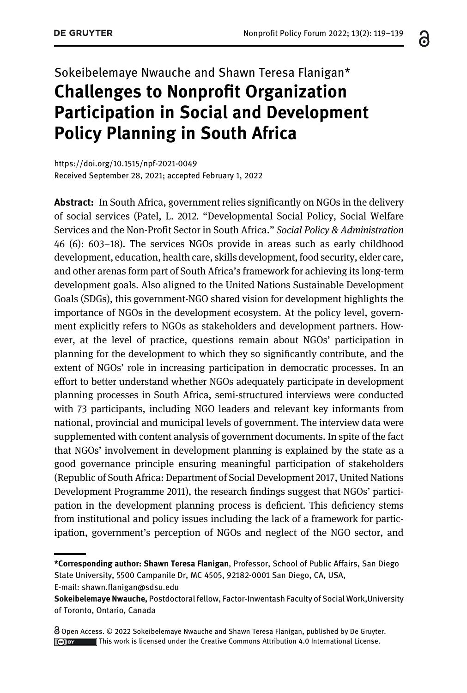# Sokeibelemaye Nwauche and Shawn Teresa Flanigan\* Challenges to Nonprofit Organization Participation in Social and Development Policy Planning in South Africa

<https://doi.org/10.1515/npf-2021-0049> Received September 28, 2021; accepted February 1, 2022

Abstract: In South Africa, government relies significantly on NGOs in the delivery of social services (Patel, L. 2012. "Developmental Social Policy, Social Welfare Services and the Non-Profit Sector in South Africa." Social Policy & Administration 46 (6): 603–18). The services NGOs provide in areas such as early childhood development, education, health care, skills development, food security, elder care, and other arenas form part of South Africa's framework for achieving its long-term development goals. Also aligned to the United Nations Sustainable Development Goals (SDGs), this government-NGO shared vision for development highlights the importance of NGOs in the development ecosystem. At the policy level, government explicitly refers to NGOs as stakeholders and development partners. However, at the level of practice, questions remain about NGOs' participation in planning for the development to which they so significantly contribute, and the extent of NGOs' role in increasing participation in democratic processes. In an effort to better understand whether NGOs adequately participate in development planning processes in South Africa, semi-structured interviews were conducted with 73 participants, including NGO leaders and relevant key informants from national, provincial and municipal levels of government. The interview data were supplemented with content analysis of government documents. In spite of the fact that NGOs' involvement in development planning is explained by the state as a good governance principle ensuring meaningful participation of stakeholders (Republic of South Africa: Department of Social Development 2017, United Nations Development Programme 2011), the research findings suggest that NGOs' participation in the development planning process is deficient. This deficiency stems from institutional and policy issues including the lack of a framework for participation, government's perception of NGOs and neglect of the NGO sector, and

E-mail: shawn.fl[anigan@sdsu.edu](mailto:shawn.flanigan@sdsu.edu)

෬

<sup>\*</sup>Corresponding author: Shawn Teresa Flanigan, Professor, School of Public Affairs, San Diego State University, 5500 Campanile Dr, MC 4505, 92182-0001 San Diego, CA, USA,

Sokeibelemaye Nwauche, Postdoctoral fellow, Factor-Inwentash Faculty of Social Work,University of Toronto, Ontario, Canada

Open Access. © 2022 Sokeibelemaye Nwauche and Shawn Teresa Flanigan, published by De Gruyter. This work is licensed under the Creative Commons Attribution 4.0 International License.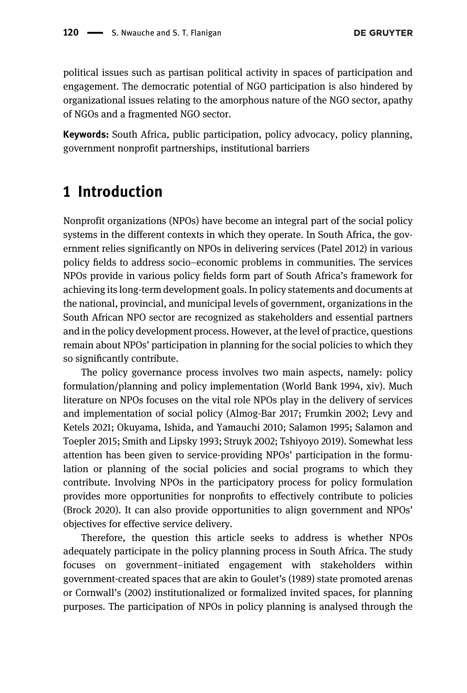political issues such as partisan political activity in spaces of participation and engagement. The democratic potential of NGO participation is also hindered by organizational issues relating to the amorphous nature of the NGO sector, apathy of NGOs and a fragmented NGO sector.

Keywords: South Africa, public participation, policy advocacy, policy planning, government nonprofit partnerships, institutional barriers

# <span id="page-1-0"></span>1 Introduction

Nonprofit organizations (NPOs) have become an integral part of the social policy systems in the different contexts in which they operate. In South Africa, the government relies significantly on NPOs in delivering services ([Patel 2012](#page-19-0)) in various policy fields to address socio–economic problems in communities. The services NPOs provide in various policy fields form part of South Africa's framework for achieving its long-term development goals. In policy statements and documents at the national, provincial, and municipal levels of government, organizations in the South African NPO sector are recognized as stakeholders and essential partners and in the policy development process. However, at the level of practice, questions remain about NPOs' participation in planning for the social policies to which they so significantly contribute.

The policy governance process involves two main aspects, namely: policy formulation/planning and policy implementation [\(World Bank 1994,](#page-20-0) xiv). Much literature on NPOs focuses on the vital role NPOs play in the delivery of services and implementation of social policy ([Almog-Bar 2017;](#page-17-0) [Frumkin 2002](#page-18-0); [Levy and](#page-18-1) [Ketels 2021](#page-18-1); [Okuyama, Ishida, and Yamauchi 2010](#page-19-1); [Salamon 1995;](#page-19-2) [Salamon and](#page-19-3) [Toepler 2015](#page-19-3); [Smith and Lipsky 1993;](#page-20-1) [Struyk 2002](#page-20-2); [Tshiyoyo 2019\)](#page-20-3). Somewhat less attention has been given to service-providing NPOs' participation in the formulation or planning of the social policies and social programs to which they contribute. Involving NPOs in the participatory process for policy formulation provides more opportunities for nonprofits to effectively contribute to policies ([Brock 2020](#page-17-1)). It can also provide opportunities to align government and NPOs' objectives for effective service delivery.

Therefore, the question this article seeks to address is whether NPOs adequately participate in the policy planning process in South Africa. The study focuses on government–initiated engagement with stakeholders within government-created spaces that are akin to Goulet'[s \(1989\)](#page-18-2) state promoted arenas or [Cornwall](#page-17-2)'s (2002) institutionalized or formalized invited spaces, for planning purposes. The participation of NPOs in policy planning is analysed through the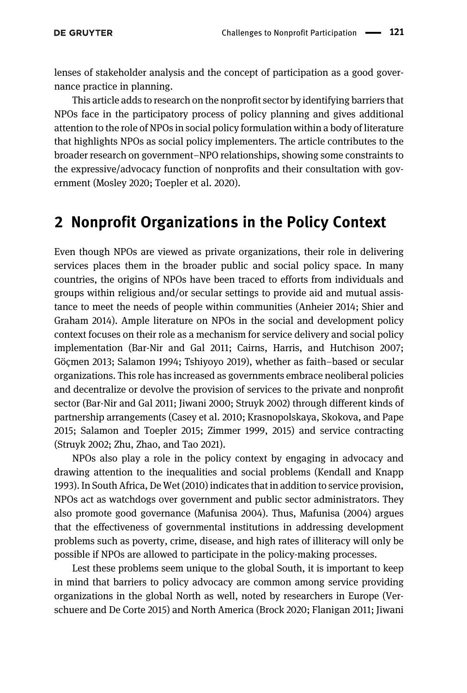lenses of stakeholder analysis and the concept of participation as a good governance practice in planning.

This article adds to research on the nonprofit sector by identifying barriers that NPOs face in the participatory process of policy planning and gives additional attention to the role of NPOs in social policy formulation within a body of literature that highlights NPOs as social policy implementers. The article contributes to the broader research on government–NPO relationships, showing some constraints to the expressive/advocacy function of nonprofits and their consultation with government ([Mosley 2020;](#page-19-4) [Toepler et al. 2020\)](#page-20-4).

## 2 Nonprofit Organizations in the Policy Context

Even though NPOs are viewed as private organizations, their role in delivering services places them in the broader public and social policy space. In many countries, the origins of NPOs have been traced to efforts from individuals and groups within religious and/or secular settings to provide aid and mutual assistance to meet the needs of people within communities [\(Anheier 2014;](#page-17-3) [Shier and](#page-19-5) [Graham 2014](#page-19-5)). Ample literature on NPOs in the social and development policy context focuses on their role as a mechanism for service delivery and social policy implementation ([Bar-Nir and Gal 2011](#page-17-4); [Cairns, Harris, and Hutchison 2007;](#page-17-5) [Göçmen 2013;](#page-18-3) [Salamon 1994;](#page-19-6) [Tshiyoyo 2019\)](#page-20-3), whether as faith–based or secular organizations. This role has increased as governments embrace neoliberal policies and decentralize or devolve the provision of services to the private and nonprofit sector ([Bar-Nir and Gal 2011](#page-17-4); [Jiwani 2000;](#page-18-4) [Struyk 2002\)](#page-20-2) through different kinds of partnership arrangements ([Casey et al. 2010;](#page-17-6) [Krasnopolskaya, Skokova, and Pape](#page-18-5) [2015;](#page-18-5) [Salamon and Toepler 2015](#page-19-3); [Zimmer 1999](#page-20-5), [2015](#page-20-6)) and service contracting [\(Struyk 2002](#page-20-2); [Zhu, Zhao, and Tao 2021\)](#page-20-7).

NPOs also play a role in the policy context by engaging in advocacy and drawing attention to the inequalities and social problems ([Kendall and Knapp](#page-18-6) [1993](#page-18-6)). In South Africa, [De Wet \(2010\)](#page-18-7) indicates that in addition to service provision, NPOs act as watchdogs over government and public sector administrators. They also promote good governance ([Mafunisa 2004\)](#page-18-8). Thus, [Mafunisa \(2004\)](#page-18-8) argues that the effectiveness of governmental institutions in addressing development problems such as poverty, crime, disease, and high rates of illiteracy will only be possible if NPOs are allowed to participate in the policy-making processes.

Lest these problems seem unique to the global South, it is important to keep in mind that barriers to policy advocacy are common among service providing organizations in the global North as well, noted by researchers in Europe ([Ver](#page-20-8)[schuere and De Corte 2015\)](#page-20-8) and North America [\(Brock 2020;](#page-17-1) [Flanigan 2011](#page-18-9); [Jiwani](#page-18-4)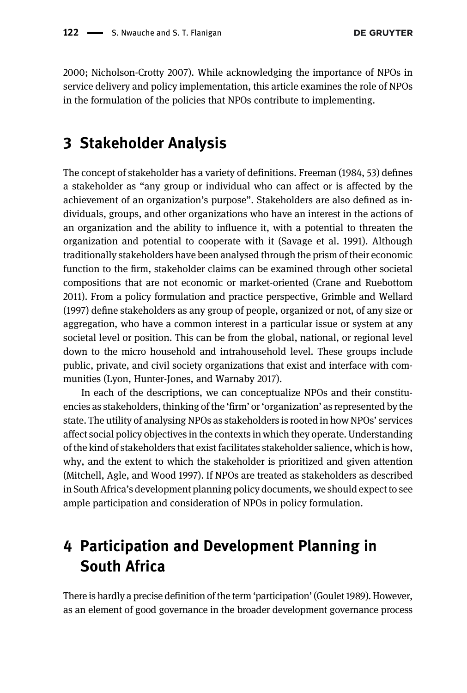[2000;](#page-18-4) [Nicholson-Crotty 2007](#page-19-7)). While acknowledging the importance of NPOs in service delivery and policy implementation, this article examines the role of NPOs in the formulation of the policies that NPOs contribute to implementing.

# 3 Stakeholder Analysis

The concept of stakeholder has a variety of definitions. [Freeman \(1984](#page-18-10), 53) defines a stakeholder as "any group or individual who can affect or is affected by the achievement of an organization's purpose". Stakeholders are also defined as individuals, groups, and other organizations who have an interest in the actions of an organization and the ability to influence it, with a potential to threaten the organization and potential to cooperate with it ([Savage et al. 1991\)](#page-19-8). Although traditionally stakeholders have been analysed through the prism of their economic function to the firm, stakeholder claims can be examined through other societal compositions that are not economic or market-oriented [\(Crane and Ruebottom](#page-18-11) [2011\)](#page-18-11). From a policy formulation and practice perspective, [Grimble and Wellard](#page-18-12) [\(1997\)](#page-18-12) define stakeholders as any group of people, organized or not, of any size or aggregation, who have a common interest in a particular issue or system at any societal level or position. This can be from the global, national, or regional level down to the micro household and intrahousehold level. These groups include public, private, and civil society organizations that exist and interface with communities ([Lyon, Hunter-Jones, and Warnaby 2017\)](#page-18-13).

In each of the descriptions, we can conceptualize NPOs and their constituencies as stakeholders, thinking of the 'firm' or'organization' as represented by the state. The utility of analysing NPOs as stakeholders is rooted in how NPOs' services affect social policy objectives in the contexts in which they operate. Understanding of the kind of stakeholders that exist facilitates stakeholder salience, which is how, why, and the extent to which the stakeholder is prioritized and given attention ([Mitchell, Agle, and Wood 1997](#page-19-9)). If NPOs are treated as stakeholders as described in South Africa's development planning policy documents, we should expect to see ample participation and consideration of NPOs in policy formulation.

# 4 Participation and Development Planning in South Africa

There is hardly a precise definition of the term 'participation' [\(Goulet 1989\)](#page-18-2). However, as an element of good governance in the broader development governance process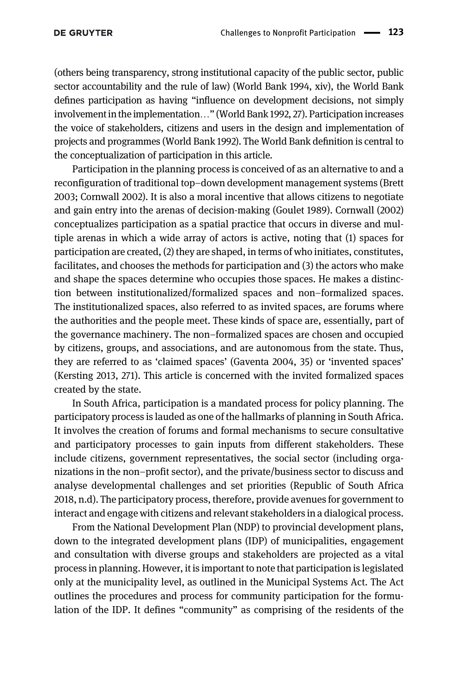(others being transparency, strong institutional capacity of the public sector, public sector accountability and the rule of law) [\(World Bank 1994,](#page-20-0) xiv), the World Bank defines participation as having "influence on development decisions, not simply involvement in the implementation…" [\(World Bank 1992](#page-20-9), 27). Participation increases the voice of stakeholders, citizens and users in the design and implementation of projects and programmes ([World Bank 1992\)](#page-20-9). The World Bank definition is central to the conceptualization of participation in this article.

Participation in the planning process is conceived of as an alternative to and a reconfiguration of traditional top–down development management systems [\(Brett](#page-17-7) [2003;](#page-17-7) [Cornwall 2002\)](#page-17-2). It is also a moral incentive that allows citizens to negotiate and gain entry into the arenas of decision-making ([Goulet 1989\)](#page-18-2). [Cornwall \(2002\)](#page-17-2) conceptualizes participation as a spatial practice that occurs in diverse and multiple arenas in which a wide array of actors is active, noting that (1) spaces for participation are created, (2) they are shaped, in terms of who initiates, constitutes, facilitates, and chooses the methods for participation and (3) the actors who make and shape the spaces determine who occupies those spaces. He makes a distinction between institutionalized/formalized spaces and non–formalized spaces. The institutionalized spaces, also referred to as invited spaces, are forums where the authorities and the people meet. These kinds of space are, essentially, part of the governance machinery. The non–formalized spaces are chosen and occupied by citizens, groups, and associations, and are autonomous from the state. Thus, they are referred to as 'claimed spaces' ([Gaventa 2004](#page-18-14), 35) or 'invented spaces' [\(Kersting 2013,](#page-18-15) 271). This article is concerned with the invited formalized spaces created by the state.

In South Africa, participation is a mandated process for policy planning. The participatory process is lauded as one of the hallmarks of planning in South Africa. It involves the creation of forums and formal mechanisms to secure consultative and participatory processes to gain inputs from different stakeholders. These include citizens, government representatives, the social sector (including organizations in the non–profit sector), and the private/business sector to discuss and analyse developmental challenges and set priorities [\(Republic of South Africa](#page-19-10) [2018](#page-19-10), [n.d](#page-19-11)). The participatory process, therefore, provide avenues for government to interact and engage with citizens and relevant stakeholders in a dialogical process.

From the National Development Plan (NDP) to provincial development plans, down to the integrated development plans (IDP) of municipalities, engagement and consultation with diverse groups and stakeholders are projected as a vital process in planning. However, it is important to note that participation is legislated only at the municipality level, as outlined in the Municipal Systems Act. The Act outlines the procedures and process for community participation for the formulation of the IDP. It defines "community" as comprising of the residents of the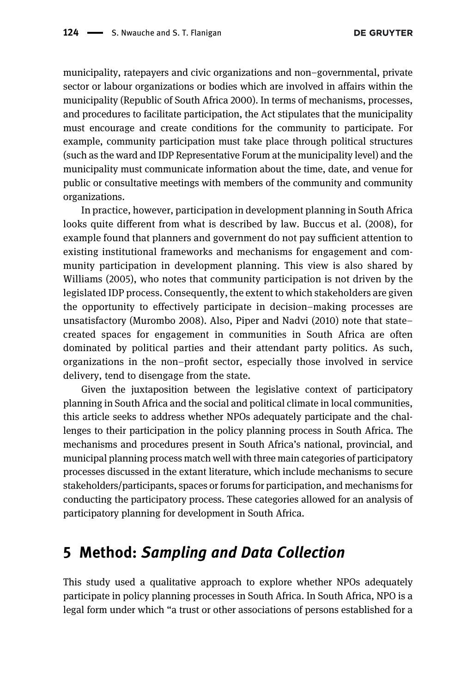municipality, ratepayers and civic organizations and non–governmental, private sector or labour organizations or bodies which are involved in affairs within the municipality [\(Republic of South Africa 2000](#page-19-12)). In terms of mechanisms, processes, and procedures to facilitate participation, the Act stipulates that the municipality must encourage and create conditions for the community to participate. For example, community participation must take place through political structures (such as the ward and IDP Representative Forum at the municipality level) and the municipality must communicate information about the time, date, and venue for public or consultative meetings with members of the community and community organizations.

In practice, however, participation in development planning in South Africa looks quite different from what is described by law. [Buccus et al. \(2008\)](#page-17-8), for example found that planners and government do not pay sufficient attention to existing institutional frameworks and mechanisms for engagement and community participation in development planning. This view is also shared by [Williams \(2005\),](#page-20-10) who notes that community participation is not driven by the legislated IDP process. Consequently, the extent to which stakeholders are given the opportunity to effectively participate in decision–making processes are unsatisfactory ([Murombo 2008\)](#page-19-13). Also, [Piper and Nadvi \(2010\)](#page-19-14) note that state– created spaces for engagement in communities in South Africa are often dominated by political parties and their attendant party politics. As such, organizations in the non–profit sector, especially those involved in service delivery, tend to disengage from the state.

Given the juxtaposition between the legislative context of participatory planning in South Africa and the social and political climate in local communities, this article seeks to address whether NPOs adequately participate and the challenges to their participation in the policy planning process in South Africa. The mechanisms and procedures present in South Africa's national, provincial, and municipal planning process match well with three main categories of participatory processes discussed in the extant literature, which include mechanisms to secure stakeholders/participants, spaces or forums for participation, and mechanisms for conducting the participatory process. These categories allowed for an analysis of participatory planning for development in South Africa.

## 5 Method: Sampling and Data Collection

This study used a qualitative approach to explore whether NPOs adequately participate in policy planning processes in South Africa. In South Africa, NPO is a legal form under which "a trust or other associations of persons established for a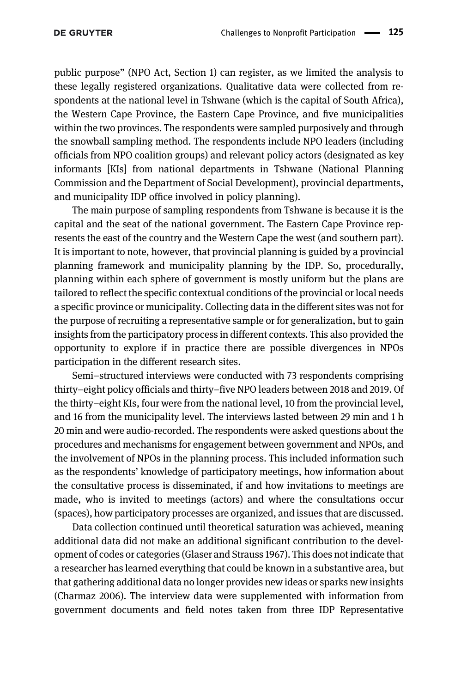public purpose" (NPO Act, [Section 1\)](#page-1-0) can register, as we limited the analysis to these legally registered organizations. Qualitative data were collected from respondents at the national level in Tshwane (which is the capital of South Africa), the Western Cape Province, the Eastern Cape Province, and five municipalities within the two provinces. The respondents were sampled purposively and through the snowball sampling method. The respondents include NPO leaders (including officials from NPO coalition groups) and relevant policy actors (designated as key informants [KIs] from national departments in Tshwane (National Planning Commission and the Department of Social Development), provincial departments, and municipality IDP office involved in policy planning).

The main purpose of sampling respondents from Tshwane is because it is the capital and the seat of the national government. The Eastern Cape Province represents the east of the country and the Western Cape the west (and southern part). It is important to note, however, that provincial planning is guided by a provincial planning framework and municipality planning by the IDP. So, procedurally, planning within each sphere of government is mostly uniform but the plans are tailored to reflect the specific contextual conditions of the provincial or local needs a specific province or municipality. Collecting data in the different sites was not for the purpose of recruiting a representative sample or for generalization, but to gain insights from the participatory process in different contexts. This also provided the opportunity to explore if in practice there are possible divergences in NPOs participation in the different research sites.

Semi–structured interviews were conducted with 73 respondents comprising thirty–eight policy officials and thirty–five NPO leaders between 2018 and 2019. Of the thirty–eight KIs, four were from the national level, 10 from the provincial level, and 16 from the municipality level. The interviews lasted between 29 min and 1 h 20 min and were audio-recorded. The respondents were asked questions about the procedures and mechanisms for engagement between government and NPOs, and the involvement of NPOs in the planning process. This included information such as the respondents' knowledge of participatory meetings, how information about the consultative process is disseminated, if and how invitations to meetings are made, who is invited to meetings (actors) and where the consultations occur (spaces), how participatory processes are organized, and issues that are discussed.

Data collection continued until theoretical saturation was achieved, meaning additional data did not make an additional significant contribution to the development of codes or categories ([Glaser and Strauss 1967\)](#page-18-16). This does not indicate that a researcher has learned everything that could be known in a substantive area, but that gathering additional data no longer provides new ideas or sparks new insights [\(Charmaz 2006](#page-17-9)). The interview data were supplemented with information from government documents and field notes taken from three IDP Representative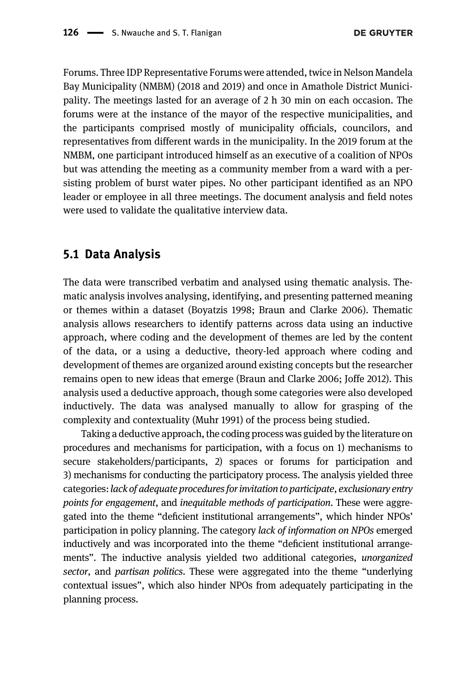Forums. Three IDP Representative Forums were attended, twice in Nelson Mandela Bay Municipality (NMBM) (2018 and 2019) and once in Amathole District Municipality. The meetings lasted for an average of 2 h 30 min on each occasion. The forums were at the instance of the mayor of the respective municipalities, and the participants comprised mostly of municipality officials, councilors, and representatives from different wards in the municipality. In the 2019 forum at the NMBM, one participant introduced himself as an executive of a coalition of NPOs but was attending the meeting as a community member from a ward with a persisting problem of burst water pipes. No other participant identified as an NPO leader or employee in all three meetings. The document analysis and field notes were used to validate the qualitative interview data.

#### 5.1 Data Analysis

The data were transcribed verbatim and analysed using thematic analysis. Thematic analysis involves analysing, identifying, and presenting patterned meaning or themes within a dataset ([Boyatzis 1998;](#page-17-10) [Braun and Clarke 2006](#page-17-11)). Thematic analysis allows researchers to identify patterns across data using an inductive approach, where coding and the development of themes are led by the content of the data, or a using a deductive, theory-led approach where coding and development of themes are organized around existing concepts but the researcher remains open to new ideas that emerge [\(Braun and Clarke 2006;](#page-17-11) [Joffe 2012\)](#page-18-17). This analysis used a deductive approach, though some categories were also developed inductively. The data was analysed manually to allow for grasping of the complexity and contextuality [\(Muhr 1991\)](#page-19-15) of the process being studied.

Taking a deductive approach, the coding process was guided by the literature on procedures and mechanisms for participation, with a focus on 1) mechanisms to secure stakeholders/participants, 2) spaces or forums for participation and 3) mechanisms for conducting the participatory process. The analysis yielded three categories:lack of adequate procedures for invitation to participate, exclusionary entry points for engagement, and inequitable methods of participation. These were aggregated into the theme "deficient institutional arrangements", which hinder NPOs' participation in policy planning. The category lack of information on NPOs emerged inductively and was incorporated into the theme "deficient institutional arrangements". The inductive analysis yielded two additional categories, *unorganized* sector, and partisan politics. These were aggregated into the theme "underlying contextual issues", which also hinder NPOs from adequately participating in the planning process.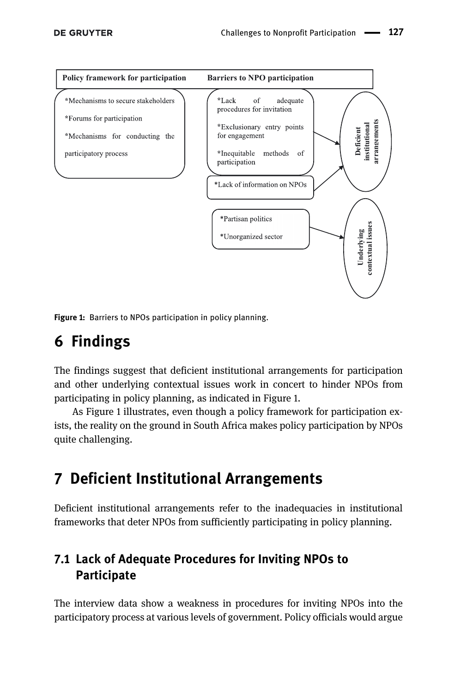

<span id="page-8-0"></span>Figure 1: Barriers to NPOs participation in policy planning.

# 6 Findings

The findings suggest that deficient institutional arrangements for participation and other underlying contextual issues work in concert to hinder NPOs from participating in policy planning, as indicated in [Figure 1](#page-8-0).

As [Figure 1](#page-8-0) illustrates, even though a policy framework for participation exists, the reality on the ground in South Africa makes policy participation by NPOs quite challenging.

# 7 Deficient Institutional Arrangements

Deficient institutional arrangements refer to the inadequacies in institutional frameworks that deter NPOs from sufficiently participating in policy planning.

### 7.1 Lack of Adequate Procedures for Inviting NPOs to **Participate**

The interview data show a weakness in procedures for inviting NPOs into the participatory process at various levels of government. Policy officials would argue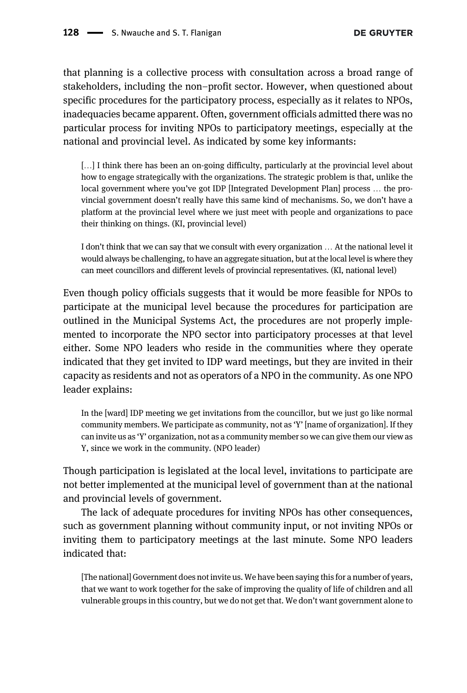that planning is a collective process with consultation across a broad range of stakeholders, including the non–profit sector. However, when questioned about specific procedures for the participatory process, especially as it relates to NPOs, inadequacies became apparent. Often, government officials admitted there was no particular process for inviting NPOs to participatory meetings, especially at the national and provincial level. As indicated by some key informants:

[...] I think there has been an on-going difficulty, particularly at the provincial level about how to engage strategically with the organizations. The strategic problem is that, unlike the local government where you've got IDP [Integrated Development Plan] process … the provincial government doesn't really have this same kind of mechanisms. So, we don't have a platform at the provincial level where we just meet with people and organizations to pace their thinking on things. (KI, provincial level)

I don't think that we can say that we consult with every organization … At the national level it would always be challenging, to have an aggregate situation, but at the local level is where they can meet councillors and different levels of provincial representatives. (KI, national level)

Even though policy officials suggests that it would be more feasible for NPOs to participate at the municipal level because the procedures for participation are outlined in the Municipal Systems Act, the procedures are not properly implemented to incorporate the NPO sector into participatory processes at that level either. Some NPO leaders who reside in the communities where they operate indicated that they get invited to IDP ward meetings, but they are invited in their capacity as residents and not as operators of a NPO in the community. As one NPO leader explains:

In the [ward] IDP meeting we get invitations from the councillor, but we just go like normal community members. We participate as community, not as 'Y' [name of organization]. If they can invite us as 'Y' organization, not as a community member so we can give them our view as Y, since we work in the community. (NPO leader)

Though participation is legislated at the local level, invitations to participate are not better implemented at the municipal level of government than at the national and provincial levels of government.

The lack of adequate procedures for inviting NPOs has other consequences, such as government planning without community input, or not inviting NPOs or inviting them to participatory meetings at the last minute. Some NPO leaders indicated that:

[The national] Government does not invite us. We have been saying this for a number of years, that we want to work together for the sake of improving the quality of life of children and all vulnerable groups in this country, but we do not get that. We don't want government alone to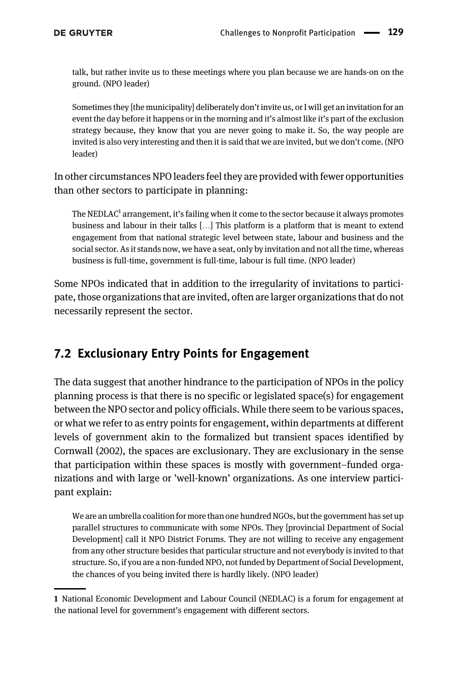talk, but rather invite us to these meetings where you plan because we are hands-on on the ground. (NPO leader)

Sometimes they [the municipality] deliberately don't invite us, or I will get an invitation for an event the day before it happens or in the morning and it's almost like it's part of the exclusion strategy because, they know that you are never going to make it. So, the way people are invited is also very interesting and then it is said that we are invited, but we don't come. (NPO leader)

In other circumstances NPO leaders feel they are provided with fewer opportunities than other sectors to participate in planning:

The NEDLAC $^{\rm 1}$  arrangement, it's failing when it come to the sector because it always promotes business and labour in their talks […] This platform is a platform that is meant to extend engagement from that national strategic level between state, labour and business and the social sector. As it stands now, we have a seat, only by invitation and not all the time, whereas business is full-time, government is full-time, labour is full time. (NPO leader)

Some NPOs indicated that in addition to the irregularity of invitations to participate, those organizations that are invited, often are larger organizations that do not necessarily represent the sector.

### 7.2 Exclusionary Entry Points for Engagement

The data suggest that another hindrance to the participation of NPOs in the policy planning process is that there is no specific or legislated space(s) for engagement between the NPO sector and policy officials. While there seem to be various spaces, or what we refer to as entry points for engagement, within departments at different levels of government akin to the formalized but transient spaces identified by [Cornwall \(2002\)](#page-17-2), the spaces are exclusionary. They are exclusionary in the sense that participation within these spaces is mostly with government–funded organizations and with large or 'well-known' organizations. As one interview participant explain:

We are an umbrella coalition for more than one hundred NGOs, but the government has set up parallel structures to communicate with some NPOs. They [provincial Department of Social Development] call it NPO District Forums. They are not willing to receive any engagement from any other structure besides that particular structure and not everybody is invited to that structure. So, if you are a non-funded NPO, not funded by Department of Social Development, the chances of you being invited there is hardly likely. (NPO leader)

<sup>1</sup> National Economic Development and Labour Council (NEDLAC) is a forum for engagement at the national level for government's engagement with different sectors.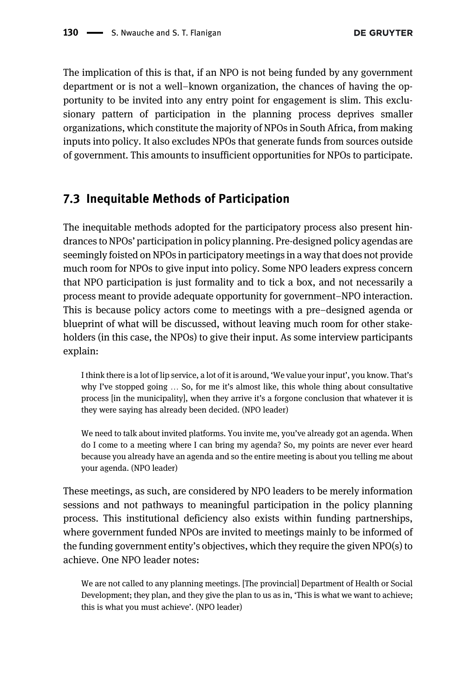The implication of this is that, if an NPO is not being funded by any government department or is not a well–known organization, the chances of having the opportunity to be invited into any entry point for engagement is slim. This exclusionary pattern of participation in the planning process deprives smaller organizations, which constitute the majority of NPOs in South Africa, from making inputs into policy. It also excludes NPOs that generate funds from sources outside of government. This amounts to insufficient opportunities for NPOs to participate.

#### 7.3 Inequitable Methods of Participation

The inequitable methods adopted for the participatory process also present hindrances to NPOs' participation in policy planning. Pre-designed policy agendas are seemingly foisted on NPOs in participatory meetings in a way that does not provide much room for NPOs to give input into policy. Some NPO leaders express concern that NPO participation is just formality and to tick a box, and not necessarily a process meant to provide adequate opportunity for government–NPO interaction. This is because policy actors come to meetings with a pre–designed agenda or blueprint of what will be discussed, without leaving much room for other stakeholders (in this case, the NPOs) to give their input. As some interview participants explain:

I think there is a lot of lip service, a lot of it is around, 'We value your input', you know. That's why I've stopped going … So, for me it's almost like, this whole thing about consultative process [in the municipality], when they arrive it's a forgone conclusion that whatever it is they were saying has already been decided. (NPO leader)

We need to talk about invited platforms. You invite me, you've already got an agenda. When do I come to a meeting where I can bring my agenda? So, my points are never ever heard because you already have an agenda and so the entire meeting is about you telling me about your agenda. (NPO leader)

These meetings, as such, are considered by NPO leaders to be merely information sessions and not pathways to meaningful participation in the policy planning process. This institutional deficiency also exists within funding partnerships, where government funded NPOs are invited to meetings mainly to be informed of the funding government entity's objectives, which they require the given NPO(s) to achieve. One NPO leader notes:

We are not called to any planning meetings. [The provincial] Department of Health or Social Development; they plan, and they give the plan to us as in, 'This is what we want to achieve; this is what you must achieve'. (NPO leader)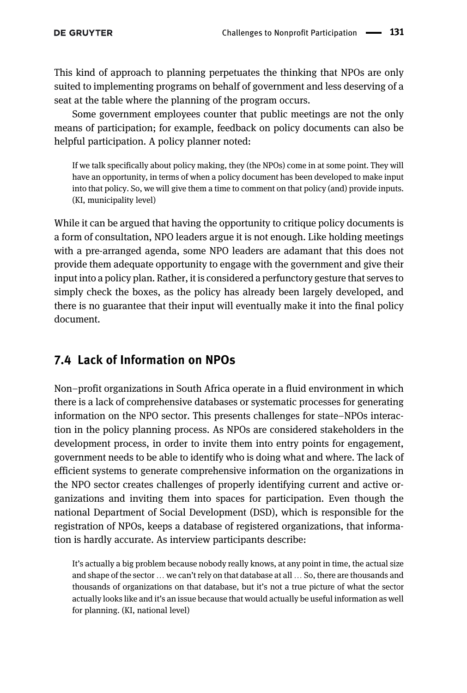This kind of approach to planning perpetuates the thinking that NPOs are only suited to implementing programs on behalf of government and less deserving of a seat at the table where the planning of the program occurs.

Some government employees counter that public meetings are not the only means of participation; for example, feedback on policy documents can also be helpful participation. A policy planner noted:

If we talk specifically about policy making, they (the NPOs) come in at some point. They will have an opportunity, in terms of when a policy document has been developed to make input into that policy. So, we will give them a time to comment on that policy (and) provide inputs. (KI, municipality level)

While it can be argued that having the opportunity to critique policy documents is a form of consultation, NPO leaders argue it is not enough. Like holding meetings with a pre-arranged agenda, some NPO leaders are adamant that this does not provide them adequate opportunity to engage with the government and give their input into a policy plan. Rather, it is considered a perfunctory gesture that serves to simply check the boxes, as the policy has already been largely developed, and there is no guarantee that their input will eventually make it into the final policy document.

### 7.4 Lack of Information on NPOs

Non–profit organizations in South Africa operate in a fluid environment in which there is a lack of comprehensive databases or systematic processes for generating information on the NPO sector. This presents challenges for state–NPOs interaction in the policy planning process. As NPOs are considered stakeholders in the development process, in order to invite them into entry points for engagement, government needs to be able to identify who is doing what and where. The lack of efficient systems to generate comprehensive information on the organizations in the NPO sector creates challenges of properly identifying current and active organizations and inviting them into spaces for participation. Even though the national Department of Social Development (DSD), which is responsible for the registration of NPOs, keeps a database of registered organizations, that information is hardly accurate. As interview participants describe:

It's actually a big problem because nobody really knows, at any point in time, the actual size and shape of the sector … we can't rely on that database at all … So, there are thousands and thousands of organizations on that database, but it's not a true picture of what the sector actually looks like and it's an issue because that would actually be useful information as well for planning. (KI, national level)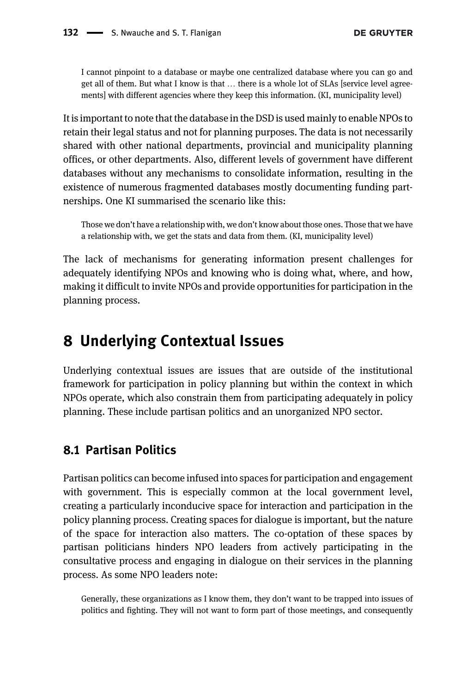I cannot pinpoint to a database or maybe one centralized database where you can go and get all of them. But what I know is that … there is a whole lot of SLAs [service level agreements] with different agencies where they keep this information. (KI, municipality level)

It is important to note that the database in the DSD is used mainly to enable NPOs to retain their legal status and not for planning purposes. The data is not necessarily shared with other national departments, provincial and municipality planning offices, or other departments. Also, different levels of government have different databases without any mechanisms to consolidate information, resulting in the existence of numerous fragmented databases mostly documenting funding partnerships. One KI summarised the scenario like this:

Those we don't have a relationship with, we don't know about those ones. Those that we have a relationship with, we get the stats and data from them. (KI, municipality level)

The lack of mechanisms for generating information present challenges for adequately identifying NPOs and knowing who is doing what, where, and how, making it difficult to invite NPOs and provide opportunities for participation in the planning process.

### 8 Underlying Contextual Issues

Underlying contextual issues are issues that are outside of the institutional framework for participation in policy planning but within the context in which NPOs operate, which also constrain them from participating adequately in policy planning. These include partisan politics and an unorganized NPO sector.

#### 8.1 Partisan Politics

Partisan politics can become infused into spaces for participation and engagement with government. This is especially common at the local government level, creating a particularly inconducive space for interaction and participation in the policy planning process. Creating spaces for dialogue is important, but the nature of the space for interaction also matters. The co-optation of these spaces by partisan politicians hinders NPO leaders from actively participating in the consultative process and engaging in dialogue on their services in the planning process. As some NPO leaders note:

Generally, these organizations as I know them, they don't want to be trapped into issues of politics and fighting. They will not want to form part of those meetings, and consequently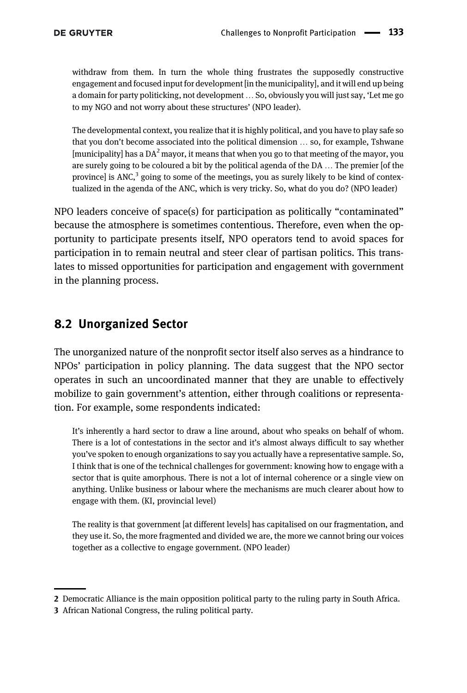withdraw from them. In turn the whole thing frustrates the supposedly constructive engagement and focused input for development [in the municipality], and it will end up being a domain for party politicking, not development … So, obviously you will just say, 'Let me go to my NGO and not worry about these structures' (NPO leader).

The developmental context, you realize that it is highly political, and you have to play safe so that you don't become associated into the political dimension … so, for example, Tshwane  $\lim$ unicipality has a DA<sup>2</sup> mayor, it means that when you go to that meeting of the mayor, you are surely going to be coloured a bit by the political agenda of the DA … The premier [of the provincel is ANC, $3$  going to some of the meetings, you as surely likely to be kind of contextualized in the agenda of the ANC, which is very tricky. So, what do you do? (NPO leader)

NPO leaders conceive of space(s) for participation as politically "contaminated" because the atmosphere is sometimes contentious. Therefore, even when the opportunity to participate presents itself, NPO operators tend to avoid spaces for participation in to remain neutral and steer clear of partisan politics. This translates to missed opportunities for participation and engagement with government in the planning process.

#### 8.2 Unorganized Sector

The unorganized nature of the nonprofit sector itself also serves as a hindrance to NPOs' participation in policy planning. The data suggest that the NPO sector operates in such an uncoordinated manner that they are unable to effectively mobilize to gain government's attention, either through coalitions or representation. For example, some respondents indicated:

It's inherently a hard sector to draw a line around, about who speaks on behalf of whom. There is a lot of contestations in the sector and it's almost always difficult to say whether you've spoken to enough organizations to say you actually have a representative sample. So, I think that is one of the technical challenges for government: knowing how to engage with a sector that is quite amorphous. There is not a lot of internal coherence or a single view on anything. Unlike business or labour where the mechanisms are much clearer about how to engage with them. (KI, provincial level)

The reality is that government [at different levels] has capitalised on our fragmentation, and they use it. So, the more fragmented and divided we are, the more we cannot bring our voices together as a collective to engage government. (NPO leader)

<sup>2</sup> Democratic Alliance is the main opposition political party to the ruling party in South Africa.

<sup>3</sup> African National Congress, the ruling political party.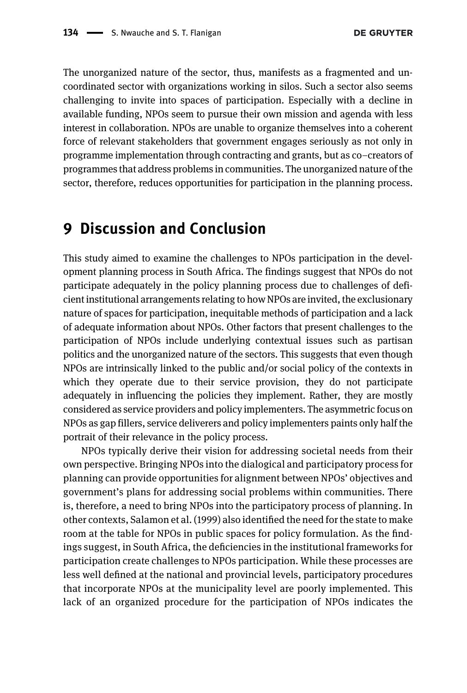The unorganized nature of the sector, thus, manifests as a fragmented and uncoordinated sector with organizations working in silos. Such a sector also seems challenging to invite into spaces of participation. Especially with a decline in available funding, NPOs seem to pursue their own mission and agenda with less interest in collaboration. NPOs are unable to organize themselves into a coherent force of relevant stakeholders that government engages seriously as not only in programme implementation through contracting and grants, but as co–creators of programmes that address problems in communities. The unorganized nature of the sector, therefore, reduces opportunities for participation in the planning process.

## 9 Discussion and Conclusion

This study aimed to examine the challenges to NPOs participation in the development planning process in South Africa. The findings suggest that NPOs do not participate adequately in the policy planning process due to challenges of deficient institutional arrangements relating to how NPOs are invited, the exclusionary nature of spaces for participation, inequitable methods of participation and a lack of adequate information about NPOs. Other factors that present challenges to the participation of NPOs include underlying contextual issues such as partisan politics and the unorganized nature of the sectors. This suggests that even though NPOs are intrinsically linked to the public and/or social policy of the contexts in which they operate due to their service provision, they do not participate adequately in influencing the policies they implement. Rather, they are mostly considered as service providers and policy implementers. The asymmetric focus on NPOs as gap fillers, service deliverers and policy implementers paints only half the portrait of their relevance in the policy process.

NPOs typically derive their vision for addressing societal needs from their own perspective. Bringing NPOs into the dialogical and participatory process for planning can provide opportunities for alignment between NPOs' objectives and government's plans for addressing social problems within communities. There is, therefore, a need to bring NPOs into the participatory process of planning. In other contexts, [Salamon et al. \(1999\)](#page-19-16) also identified the need for the state to make room at the table for NPOs in public spaces for policy formulation. As the findings suggest, in South Africa, the deficiencies in the institutional frameworks for participation create challenges to NPOs participation. While these processes are less well defined at the national and provincial levels, participatory procedures that incorporate NPOs at the municipality level are poorly implemented. This lack of an organized procedure for the participation of NPOs indicates the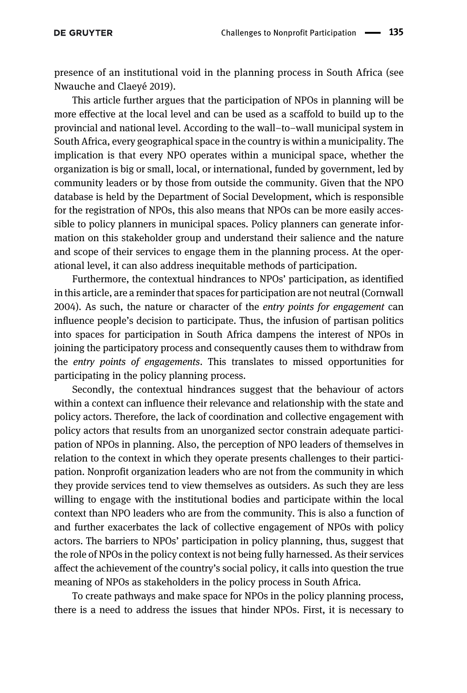presence of an institutional void in the planning process in South Africa (see [Nwauche and Claeyé 2019\)](#page-19-17).

This article further argues that the participation of NPOs in planning will be more effective at the local level and can be used as a scaffold to build up to the provincial and national level. According to the wall–to–wall municipal system in South Africa, every geographical space in the country is within a municipality. The implication is that every NPO operates within a municipal space, whether the organization is big or small, local, or international, funded by government, led by community leaders or by those from outside the community. Given that the NPO database is held by the Department of Social Development, which is responsible for the registration of NPOs, this also means that NPOs can be more easily accessible to policy planners in municipal spaces. Policy planners can generate information on this stakeholder group and understand their salience and the nature and scope of their services to engage them in the planning process. At the operational level, it can also address inequitable methods of participation.

Furthermore, the contextual hindrances to NPOs' participation, as identified in this article, are a reminder that spaces for participation are not neutral [\(Cornwall](#page-18-18) [2004](#page-18-18)). As such, the nature or character of the entry points for engagement can influence people's decision to participate. Thus, the infusion of partisan politics into spaces for participation in South Africa dampens the interest of NPOs in joining the participatory process and consequently causes them to withdraw from the entry points of engagements. This translates to missed opportunities for participating in the policy planning process.

Secondly, the contextual hindrances suggest that the behaviour of actors within a context can influence their relevance and relationship with the state and policy actors. Therefore, the lack of coordination and collective engagement with policy actors that results from an unorganized sector constrain adequate participation of NPOs in planning. Also, the perception of NPO leaders of themselves in relation to the context in which they operate presents challenges to their participation. Nonprofit organization leaders who are not from the community in which they provide services tend to view themselves as outsiders. As such they are less willing to engage with the institutional bodies and participate within the local context than NPO leaders who are from the community. This is also a function of and further exacerbates the lack of collective engagement of NPOs with policy actors. The barriers to NPOs' participation in policy planning, thus, suggest that the role of NPOs in the policy context is not being fully harnessed. As their services affect the achievement of the country's social policy, it calls into question the true meaning of NPOs as stakeholders in the policy process in South Africa.

To create pathways and make space for NPOs in the policy planning process, there is a need to address the issues that hinder NPOs. First, it is necessary to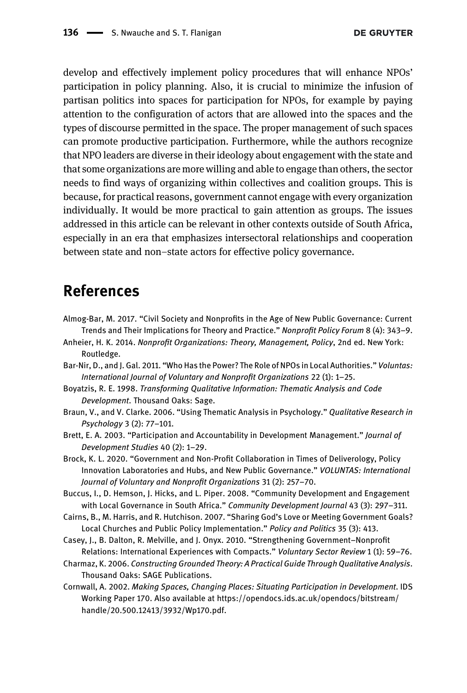develop and effectively implement policy procedures that will enhance NPOs' participation in policy planning. Also, it is crucial to minimize the infusion of partisan politics into spaces for participation for NPOs, for example by paying attention to the configuration of actors that are allowed into the spaces and the types of discourse permitted in the space. The proper management of such spaces can promote productive participation. Furthermore, while the authors recognize that NPO leaders are diverse in their ideology about engagement with the state and that some organizations are more willing and able to engage than others, the sector needs to find ways of organizing within collectives and coalition groups. This is because, for practical reasons, government cannot engage with every organization individually. It would be more practical to gain attention as groups. The issues addressed in this article can be relevant in other contexts outside of South Africa, especially in an era that emphasizes intersectoral relationships and cooperation between state and non–state actors for effective policy governance.

## References

- <span id="page-17-0"></span>Almog-Bar, M. 2017. "Civil Society and Nonprofits in the Age of New Public Governance: Current Trends and Their Implications for Theory and Practice." Nonprofit Policy Forum 8 (4): 343–9.
- <span id="page-17-3"></span>Anheier, H. K. 2014. Nonprofit Organizations: Theory, Management, Policy, 2nd ed. New York: Routledge.
- <span id="page-17-4"></span>Bar-Nir, D., and J. Gal. 2011. "Who Has the Power? The Role of NPOs in Local Authorities." Voluntas: International Journal of Voluntary and Nonprofit Organizations 22 (1): 1–25.
- <span id="page-17-10"></span>Boyatzis, R. E. 1998. Transforming Qualitative Information: Thematic Analysis and Code Development. Thousand Oaks: Sage.
- <span id="page-17-11"></span>Braun, V., and V. Clarke. 2006. "Using Thematic Analysis in Psychology." Qualitative Research in Psychology 3 (2): 77–101.
- <span id="page-17-7"></span>Brett, E. A. 2003. "Participation and Accountability in Development Management." Journal of Development Studies 40 (2): 1–29.
- <span id="page-17-1"></span>Brock, K. L. 2020. "Government and Non-Profit Collaboration in Times of Deliverology, Policy Innovation Laboratories and Hubs, and New Public Governance." VOLUNTAS: International Journal of Voluntary and Nonprofit Organizations 31 (2): 257–70.
- <span id="page-17-8"></span>Buccus, I., D. Hemson, J. Hicks, and L. Piper. 2008. "Community Development and Engagement with Local Governance in South Africa." Community Development Journal 43 (3): 297-311.
- <span id="page-17-5"></span>Cairns, B., M. Harris, and R. Hutchison. 2007. "Sharing God's Love or Meeting Government Goals? Local Churches and Public Policy Implementation." Policy and Politics 35 (3): 413.
- <span id="page-17-6"></span>Casey, J., B. Dalton, R. Melville, and J. Onyx. 2010. "Strengthening Government–Nonprofit Relations: International Experiences with Compacts." Voluntary Sector Review 1 (1): 59–76.
- <span id="page-17-9"></span>Charmaz, K. 2006. Constructing Grounded Theory: A Practical Guide Through Qualitative Analysis. Thousand Oaks: SAGE Publications.
- <span id="page-17-2"></span>Cornwall, A. 2002. Making Spaces, Changing Places: Situating Participation in Development. IDS Working Paper 170. Also available at [https://opendocs.ids.ac.uk/opendocs/bitstream/](https://opendocs.ids.ac.uk/opendocs/bitstream/handle/20.500.12413/3932/Wp170.pdf) [handle/20.500.12413/3932/Wp170.pdf.](https://opendocs.ids.ac.uk/opendocs/bitstream/handle/20.500.12413/3932/Wp170.pdf)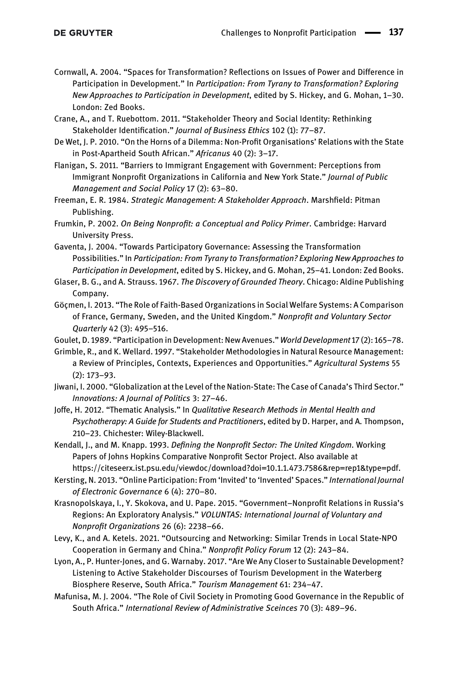- <span id="page-18-18"></span>Cornwall, A. 2004. "Spaces for Transformation? Reflections on Issues of Power and Difference in Participation in Development." In Participation: From Tyrany to Transformation? Exploring New Approaches to Participation in Development, edited by S. Hickey, and G. Mohan, 1–30. London: Zed Books.
- <span id="page-18-11"></span>Crane, A., and T. Ruebottom. 2011. "Stakeholder Theory and Social Identity: Rethinking Stakeholder Identification." Journal of Business Ethics 102 (1): 77–87.
- <span id="page-18-7"></span>De Wet, J. P. 2010. "On the Horns of a Dilemma: Non-Profit Organisations' Relations with the State in Post-Apartheid South African." Africanus 40 (2): 3–17.
- <span id="page-18-9"></span>Flanigan, S. 2011. "Barriers to Immigrant Engagement with Government: Perceptions from Immigrant Nonprofit Organizations in California and New York State." Journal of Public Management and Social Policy 17 (2): 63–80.
- <span id="page-18-10"></span>Freeman, E. R. 1984. Strategic Management: A Stakeholder Approach. Marshfield: Pitman Publishing.
- <span id="page-18-0"></span>Frumkin, P. 2002. On Being Nonprofit: a Conceptual and Policy Primer. Cambridge: Harvard University Press.
- <span id="page-18-14"></span>Gaventa, J. 2004. "Towards Participatory Governance: Assessing the Transformation Possibilities." In Participation: From Tyrany to Transformation? Exploring New Approaches to Participation in Development, edited by S. Hickey, and G. Mohan, 25–41. London: Zed Books.
- <span id="page-18-16"></span>Glaser, B. G., and A. Strauss. 1967. The Discovery of Grounded Theory. Chicago: Aldine Publishing Company.
- <span id="page-18-3"></span>Göçmen, I. 2013. "The Role of Faith-Based Organizations in Social Welfare Systems: A Comparison of France, Germany, Sweden, and the United Kingdom." Nonprofit and Voluntary Sector Quarterly 42 (3): 495–516.

<span id="page-18-2"></span>Goulet, D. 1989. "Participation in Development: New Avenues." World Development 17 (2): 165–78.

- <span id="page-18-12"></span>Grimble, R., and K. Wellard. 1997. "Stakeholder Methodologies in Natural Resource Management: a Review of Principles, Contexts, Experiences and Opportunities." Agricultural Systems 55 (2): 173–93.
- <span id="page-18-4"></span>Jiwani, I. 2000. "Globalization at the Level of the Nation-State: The Case of Canada's Third Sector." Innovations: A Journal of Politics 3: 27–46.
- <span id="page-18-17"></span>Joffe, H. 2012. "Thematic Analysis." In Qualitative Research Methods in Mental Health and Psychotherapy: A Guide for Students and Practitioners, edited by D. Harper, and A. Thompson, 210–23. Chichester: Wiley-Blackwell.
- <span id="page-18-6"></span>Kendall, J., and M. Knapp. 1993. Defining the Nonprofit Sector: The United Kingdom. Working Papers of Johns Hopkins Comparative Nonprofit Sector Project. Also available at [https://citeseerx.ist.psu.edu/viewdoc/download?doi=10.1.1.473.7586&rep=rep1&type=pdf.](https://citeseerx.ist.psu.edu/viewdoc/download?doi=10.1.1.473.7586&rep=rep1&type=pdf)
- <span id="page-18-15"></span>Kersting, N. 2013. "Online Participation: From 'Invited' to 'Invented' Spaces." International Journal of Electronic Governance 6 (4): 270–80.
- <span id="page-18-5"></span>Krasnopolskaya, I., Y. Skokova, and U. Pape. 2015. "Government–Nonprofit Relations in Russia's Regions: An Exploratory Analysis." VOLUNTAS: International Journal of Voluntary and Nonprofit Organizations 26 (6): 2238–66.
- <span id="page-18-1"></span>Levy, K., and A. Ketels. 2021. "Outsourcing and Networking: Similar Trends in Local State-NPO Cooperation in Germany and China." Nonprofit Policy Forum 12 (2): 243–84.
- <span id="page-18-13"></span>Lyon, A., P. Hunter-Jones, and G. Warnaby. 2017. "Are We Any Closer to Sustainable Development? Listening to Active Stakeholder Discourses of Tourism Development in the Waterberg Biosphere Reserve, South Africa." Tourism Management 61: 234–47.
- <span id="page-18-8"></span>Mafunisa, M. J. 2004. "The Role of Civil Society in Promoting Good Governance in the Republic of South Africa." International Review of Administrative Sceinces 70 (3): 489–96.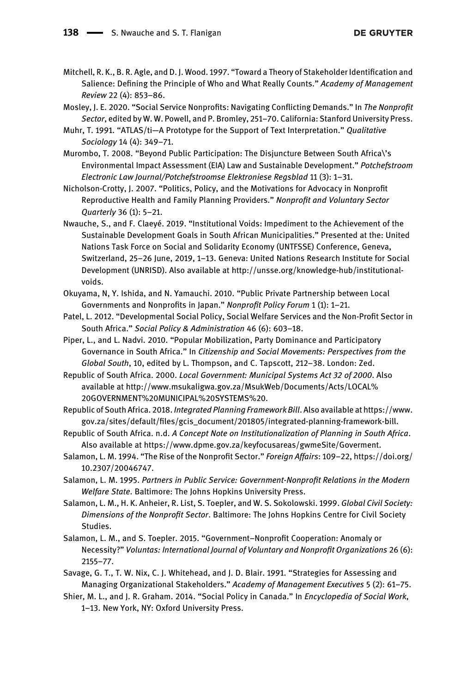- <span id="page-19-9"></span>Mitchell, R. K., B. R. Agle, and D. J. Wood. 1997. "Toward a Theory of Stakeholder Identification and Salience: Defining the Principle of Who and What Really Counts." Academy of Management Review 22 (4): 853–86.
- <span id="page-19-4"></span>Mosley, J. E. 2020. "Social Service Nonprofits: Navigating Conflicting Demands." In The Nonprofit Sector, edited by W. W. Powell, and P. Bromley, 251–70. California: Stanford University Press.
- <span id="page-19-15"></span>Muhr, T. 1991. "ATLAS/ti—A Prototype for the Support of Text Interpretation." Qualitative Sociology 14 (4): 349–71.
- <span id="page-19-13"></span>Murombo, T. 2008. "Beyond Public Participation: The Disjuncture Between South Africa\'s Environmental Impact Assessment (EIA) Law and Sustainable Development." Potchefstroom Electronic Law Journal/Potchefstroomse Elektroniese Regsblad 11 (3): 1–31.
- <span id="page-19-7"></span>Nicholson-Crotty, J. 2007. "Politics, Policy, and the Motivations for Advocacy in Nonprofit Reproductive Health and Family Planning Providers." Nonprofit and Voluntary Sector Quarterly 36 (1): 5–21.
- <span id="page-19-17"></span>Nwauche, S., and F. Claeyé. 2019. "Institutional Voids: Impediment to the Achievement of the Sustainable Development Goals in South African Municipalities." Presented at the: United Nations Task Force on Social and Solidarity Economy (UNTFSSE) Conference, Geneva, Switzerland, 25–26 June, 2019, 1–13. Geneva: United Nations Research Institute for Social Development (UNRISD). Also available at [http://unsse.org/knowledge-hub/institutional](http://unsse.org/knowledge-hub/institutional-voids)[voids](http://unsse.org/knowledge-hub/institutional-voids).
- <span id="page-19-1"></span>Okuyama, N, Y. Ishida, and N. Yamauchi. 2010. "Public Private Partnership between Local Governments and Nonprofits in Japan." Nonprofit Policy Forum 1 (1): 1–21.
- <span id="page-19-0"></span>Patel, L. 2012. "Developmental Social Policy, Social Welfare Services and the Non‐Profit Sector in South Africa." Social Policy & Administration 46 (6): 603–18.
- <span id="page-19-14"></span>Piper, L., and L. Nadvi. 2010. "Popular Mobilization, Party Dominance and Participatory Governance in South Africa." In Citizenship and Social Movements: Perspectives from the Global South, 10, edited by L. Thompson, and C. Tapscott, 212–38. London: Zed.
- <span id="page-19-12"></span>Republic of South Africa. 2000. Local Government: Municipal Systems Act 32 of 2000. Also available at [http://www.msukaligwa.gov.za/MsukWeb/Documents/Acts/LOCAL%](http://www.msukaligwa.gov.za/MsukWeb/Documents/Acts/LOCAL%20GOVERNMENT%20MUNICIPAL%20SYSTEMS%20) [20GOVERNMENT%20MUNICIPAL%20SYSTEMS%20.](http://www.msukaligwa.gov.za/MsukWeb/Documents/Acts/LOCAL%20GOVERNMENT%20MUNICIPAL%20SYSTEMS%20)
- <span id="page-19-10"></span>Republic of South Africa. 2018. Integrated Planning Framework Bill. Also available at [https://www.](https://www.gov.za/sites/default/files/gcis_document/201805/integrated-planning-framework-bill) gov.za/sites/default/fi[les/gcis\\_document/201805/integrated-planning-framework-bill.](https://www.gov.za/sites/default/files/gcis_document/201805/integrated-planning-framework-bill)
- <span id="page-19-11"></span>Republic of South Africa. n.d. A Concept Note on Institutionalization of Planning in South Africa. Also available at<https://www.dpme.gov.za/keyfocusareas/gwmeSite/Goverment>.
- <span id="page-19-6"></span>Salamon, L. M. 1994. "The Rise of the Nonprofit Sector." Foreign Affairs: 109–22, [https://doi.org/](https://doi.org/10.2307/20046747) [10.2307/20046747](https://doi.org/10.2307/20046747).
- <span id="page-19-2"></span>Salamon, L. M. 1995. Partners in Public Service: Government-Nonprofit Relations in the Modern Welfare State. Baltimore: The Johns Hopkins University Press.
- <span id="page-19-16"></span>Salamon, L. M., H. K. Anheier, R. List, S. Toepler, and W. S. Sokolowski. 1999. Global Civil Society: Dimensions of the Nonprofit Sector. Baltimore: The Johns Hopkins Centre for Civil Society Studies.
- <span id="page-19-3"></span>Salamon, L. M., and S. Toepler. 2015. "Government–Nonprofit Cooperation: Anomaly or Necessity?" Voluntas: International Journal of Voluntary and Nonprofit Organizations 26 (6): 2155–77.
- <span id="page-19-8"></span>Savage, G. T., T. W. Nix, C. J. Whitehead, and J. D. Blair. 1991. "Strategies for Assessing and Managing Organizational Stakeholders." Academy of Management Executives 5 (2): 61–75.
- <span id="page-19-5"></span>Shier, M. L., and J. R. Graham. 2014. "Social Policy in Canada." In Encyclopedia of Social Work, 1–13. New York, NY: Oxford University Press.